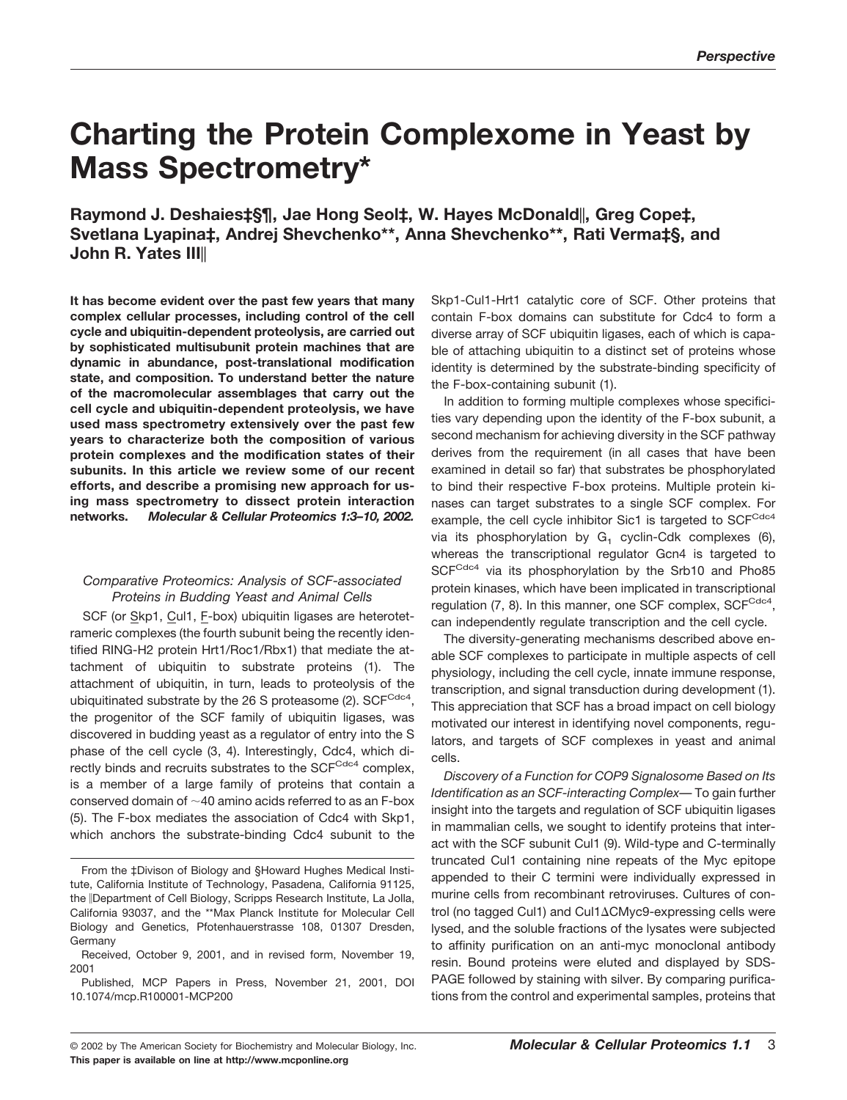# **Charting the Protein Complexome in Yeast by Mass Spectrometry\***

**Raymond J. Deshaies‡§¶, Jae Hong Seol‡, W. Hayes McDonald, Greg Cope‡, Svetlana Lyapina‡, Andrej Shevchenko\*\*, Anna Shevchenko\*\*, Rati Verma‡§, and John R. Yates III**

**It has become evident over the past few years that many complex cellular processes, including control of the cell cycle and ubiquitin-dependent proteolysis, are carried out by sophisticated multisubunit protein machines that are dynamic in abundance, post-translational modification state, and composition. To understand better the nature of the macromolecular assemblages that carry out the cell cycle and ubiquitin-dependent proteolysis, we have used mass spectrometry extensively over the past few years to characterize both the composition of various protein complexes and the modification states of their subunits. In this article we review some of our recent efforts, and describe a promising new approach for using mass spectrometry to dissect protein interaction networks.** *Molecular & Cellular Proteomics 1:3–10, 2002.*

## *Comparative Proteomics: Analysis of SCF-associated Proteins in Budding Yeast and Animal Cells*

SCF (or Skp1, Cul1, F-box) ubiquitin ligases are heterotetrameric complexes (the fourth subunit being the recently identified RING-H2 protein Hrt1/Roc1/Rbx1) that mediate the attachment of ubiquitin to substrate proteins (1). The attachment of ubiquitin, in turn, leads to proteolysis of the ubiquitinated substrate by the 26 S proteasome (2).  $SCF<sup>Cdcd</sup>$ , the progenitor of the SCF family of ubiquitin ligases, was discovered in budding yeast as a regulator of entry into the S phase of the cell cycle (3, 4). Interestingly, Cdc4, which directly binds and recruits substrates to the SCFCdc4 complex, is a member of a large family of proteins that contain a conserved domain of  $\sim$  40 amino acids referred to as an F-box (5). The F-box mediates the association of Cdc4 with Skp1, which anchors the substrate-binding Cdc4 subunit to the

Skp1-Cul1-Hrt1 catalytic core of SCF. Other proteins that contain F-box domains can substitute for Cdc4 to form a diverse array of SCF ubiquitin ligases, each of which is capable of attaching ubiquitin to a distinct set of proteins whose identity is determined by the substrate-binding specificity of the F-box-containing subunit (1).

In addition to forming multiple complexes whose specificities vary depending upon the identity of the F-box subunit, a second mechanism for achieving diversity in the SCF pathway derives from the requirement (in all cases that have been examined in detail so far) that substrates be phosphorylated to bind their respective F-box proteins. Multiple protein kinases can target substrates to a single SCF complex. For example, the cell cycle inhibitor Sic1 is targeted to SCFCdc4 via its phosphorylation by  $G_1$  cyclin-Cdk complexes (6), whereas the transcriptional regulator Gcn4 is targeted to SCFCdc4 via its phosphorylation by the Srb10 and Pho85 protein kinases, which have been implicated in transcriptional regulation  $(7, 8)$ . In this manner, one SCF complex, SCF $C_{dC4}$ , can independently regulate transcription and the cell cycle.

The diversity-generating mechanisms described above enable SCF complexes to participate in multiple aspects of cell physiology, including the cell cycle, innate immune response, transcription, and signal transduction during development (1). This appreciation that SCF has a broad impact on cell biology motivated our interest in identifying novel components, regulators, and targets of SCF complexes in yeast and animal cells.

*Discovery of a Function for COP9 Signalosome Based on Its Identification as an SCF-interacting Complex*— To gain further insight into the targets and regulation of SCF ubiquitin ligases in mammalian cells, we sought to identify proteins that interact with the SCF subunit Cul1 (9). Wild-type and C-terminally truncated Cul1 containing nine repeats of the Myc epitope appended to their C termini were individually expressed in murine cells from recombinant retroviruses. Cultures of control (no tagged Cul1) and Cul1∆CMyc9-expressing cells were lysed, and the soluble fractions of the lysates were subjected to affinity purification on an anti-myc monoclonal antibody resin. Bound proteins were eluted and displayed by SDS-PAGE followed by staining with silver. By comparing purifications from the control and experimental samples, proteins that

From the ‡Divison of Biology and §Howard Hughes Medical Institute, California Institute of Technology, Pasadena, California 91125, the Department of Cell Biology, Scripps Research Institute, La Jolla, California 93037, and the \*\*Max Planck Institute for Molecular Cell Biology and Genetics, Pfotenhauerstrasse 108, 01307 Dresden, **Germany** 

Received, October 9, 2001, and in revised form, November 19, 2001

Published, MCP Papers in Press, November 21, 2001, DOI 10.1074/mcp.R100001-MCP200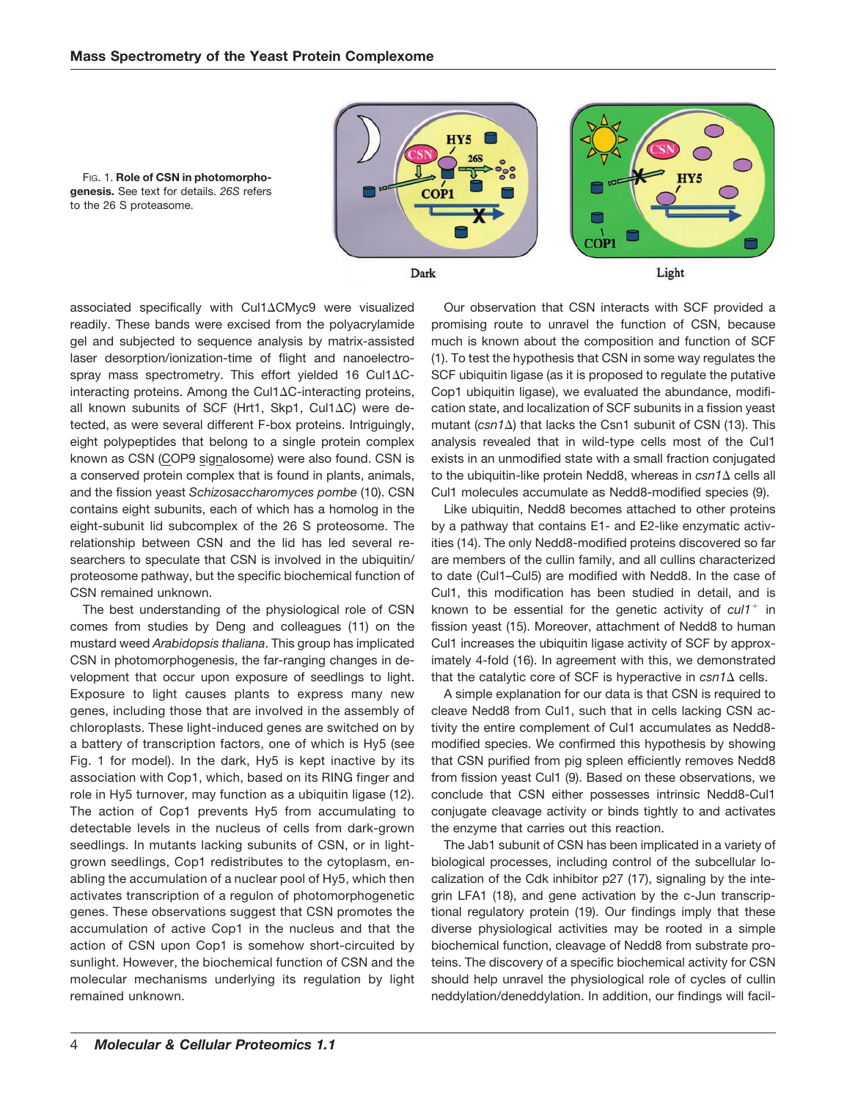FIG. 1. **Role of CSN in photomorphogenesis.** See text for details. *26S* refers

to the 26 S proteasome.



Dark

Light

associated specifically with Cul1ACMyc9 were visualized readily. These bands were excised from the polyacrylamide gel and subjected to sequence analysis by matrix-assisted laser desorption/ionization-time of flight and nanoelectrospray mass spectrometry. This effort yielded 16 Cul1 $\Delta C$ interacting proteins. Among the Cul1 $\Delta$ C-interacting proteins, all known subunits of SCF (Hrt1, Skp1, Cul1AC) were detected, as were several different F-box proteins. Intriguingly, eight polypeptides that belong to a single protein complex known as CSN (COP9 signalosome) were also found. CSN is a conserved protein complex that is found in plants, animals, and the fission yeast *Schizosaccharomyces pombe* (10). CSN contains eight subunits, each of which has a homolog in the eight-subunit lid subcomplex of the 26 S proteosome. The relationship between CSN and the lid has led several researchers to speculate that CSN is involved in the ubiquitin/ proteosome pathway, but the specific biochemical function of CSN remained unknown.

The best understanding of the physiological role of CSN comes from studies by Deng and colleagues (11) on the mustard weed *Arabidopsis thaliana*. This group has implicated CSN in photomorphogenesis, the far-ranging changes in development that occur upon exposure of seedlings to light. Exposure to light causes plants to express many new genes, including those that are involved in the assembly of chloroplasts. These light-induced genes are switched on by a battery of transcription factors, one of which is Hy5 (see Fig. 1 for model). In the dark, Hy5 is kept inactive by its association with Cop1, which, based on its RING finger and role in Hy5 turnover, may function as a ubiquitin ligase (12). The action of Cop1 prevents Hy5 from accumulating to detectable levels in the nucleus of cells from dark-grown seedlings. In mutants lacking subunits of CSN, or in lightgrown seedlings, Cop1 redistributes to the cytoplasm, enabling the accumulation of a nuclear pool of Hy5, which then activates transcription of a regulon of photomorphogenetic genes. These observations suggest that CSN promotes the accumulation of active Cop1 in the nucleus and that the action of CSN upon Cop1 is somehow short-circuited by sunlight. However, the biochemical function of CSN and the molecular mechanisms underlying its regulation by light remained unknown.

Our observation that CSN interacts with SCF provided a promising route to unravel the function of CSN, because much is known about the composition and function of SCF (1). To test the hypothesis that CSN in some way regulates the SCF ubiquitin ligase (as it is proposed to regulate the putative Cop1 ubiquitin ligase), we evaluated the abundance, modification state, and localization of SCF subunits in a fission yeast mutant (csn1 $\Delta$ ) that lacks the Csn1 subunit of CSN (13). This analysis revealed that in wild-type cells most of the Cul1 exists in an unmodified state with a small fraction conjugated to the ubiquitin-like protein Nedd8, whereas in *csn1* A cells all Cul1 molecules accumulate as Nedd8-modified species (9).

Like ubiquitin, Nedd8 becomes attached to other proteins by a pathway that contains E1- and E2-like enzymatic activities (14). The only Nedd8-modified proteins discovered so far are members of the cullin family, and all cullins characterized to date (Cul1–Cul5) are modified with Nedd8. In the case of Cul1, this modification has been studied in detail, and is known to be essential for the genetic activity of  $\frac{c}{t}$  in fission yeast (15). Moreover, attachment of Nedd8 to human Cul1 increases the ubiquitin ligase activity of SCF by approximately 4-fold (16). In agreement with this, we demonstrated that the catalytic core of SCF is hyperactive in  $csn1\Delta$  cells.

A simple explanation for our data is that CSN is required to cleave Nedd8 from Cul1, such that in cells lacking CSN activity the entire complement of Cul1 accumulates as Nedd8 modified species. We confirmed this hypothesis by showing that CSN purified from pig spleen efficiently removes Nedd8 from fission yeast Cul1 (9). Based on these observations, we conclude that CSN either possesses intrinsic Nedd8-Cul1 conjugate cleavage activity or binds tightly to and activates the enzyme that carries out this reaction.

The Jab1 subunit of CSN has been implicated in a variety of biological processes, including control of the subcellular localization of the Cdk inhibitor p27 (17), signaling by the integrin LFA1 (18), and gene activation by the c-Jun transcriptional regulatory protein (19). Our findings imply that these diverse physiological activities may be rooted in a simple biochemical function, cleavage of Nedd8 from substrate proteins. The discovery of a specific biochemical activity for CSN should help unravel the physiological role of cycles of cullin neddylation/deneddylation. In addition, our findings will facil-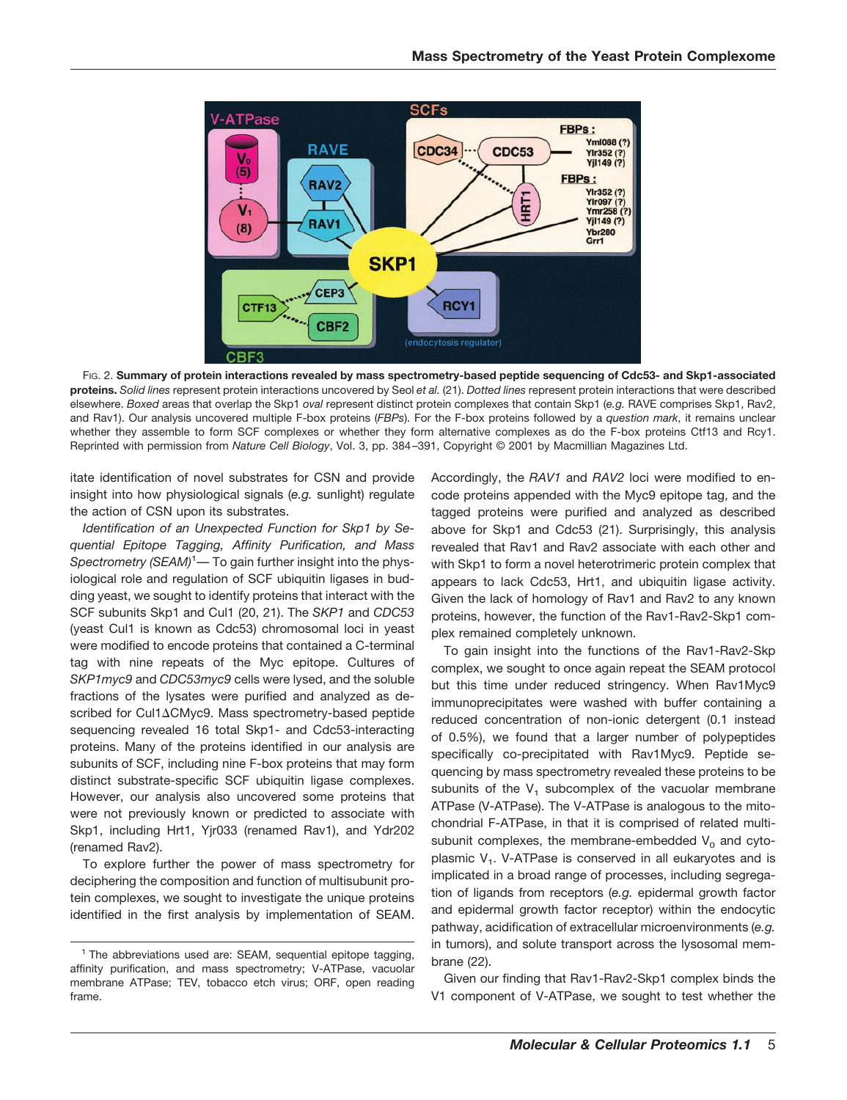

FIG. 2. **Summary of protein interactions revealed by mass spectrometry-based peptide sequencing of Cdc53- and Skp1-associated proteins.** *Solid lines* represent protein interactions uncovered by Seol *et al.* (21). *Dotted lines* represent protein interactions that were described elsewhere. *Boxed* areas that overlap the Skp1 *oval* represent distinct protein complexes that contain Skp1 (*e.g.* RAVE comprises Skp1, Rav2, and Rav1). Our analysis uncovered multiple F-box proteins (*FBPs*). For the F-box proteins followed by a *question mark*, it remains unclear whether they assemble to form SCF complexes or whether they form alternative complexes as do the F-box proteins Ctf13 and Rcy1. Reprinted with permission from *Nature Cell Biology*, Vol. 3, pp. 384–391, Copyright © 2001 by Macmillian Magazines Ltd.

itate identification of novel substrates for CSN and provide insight into how physiological signals (*e.g.* sunlight) regulate the action of CSN upon its substrates.

*Identification of an Unexpected Function for Skp1 by Sequential Epitope Tagging, Affinity Purification, and Mass* Spectrometry (SEAM)<sup>1</sup>— To gain further insight into the physiological role and regulation of SCF ubiquitin ligases in budding yeast, we sought to identify proteins that interact with the SCF subunits Skp1 and Cul1 (20, 21). The *SKP1* and *CDC53* (yeast Cul1 is known as Cdc53) chromosomal loci in yeast were modified to encode proteins that contained a C-terminal tag with nine repeats of the Myc epitope. Cultures of *SKP1myc9* and *CDC53myc9* cells were lysed, and the soluble fractions of the lysates were purified and analyzed as described for Cul1ACMyc9. Mass spectrometry-based peptide sequencing revealed 16 total Skp1- and Cdc53-interacting proteins. Many of the proteins identified in our analysis are subunits of SCF, including nine F-box proteins that may form distinct substrate-specific SCF ubiquitin ligase complexes. However, our analysis also uncovered some proteins that were not previously known or predicted to associate with Skp1, including Hrt1, Yjr033 (renamed Rav1), and Ydr202 (renamed Rav2).

To explore further the power of mass spectrometry for deciphering the composition and function of multisubunit protein complexes, we sought to investigate the unique proteins identified in the first analysis by implementation of SEAM. Accordingly, the *RAV1* and *RAV2* loci were modified to encode proteins appended with the Myc9 epitope tag, and the tagged proteins were purified and analyzed as described above for Skp1 and Cdc53 (21). Surprisingly, this analysis revealed that Rav1 and Rav2 associate with each other and with Skp1 to form a novel heterotrimeric protein complex that appears to lack Cdc53, Hrt1, and ubiquitin ligase activity. Given the lack of homology of Rav1 and Rav2 to any known proteins, however, the function of the Rav1-Rav2-Skp1 complex remained completely unknown.

To gain insight into the functions of the Rav1-Rav2-Skp complex, we sought to once again repeat the SEAM protocol but this time under reduced stringency. When Rav1Myc9 immunoprecipitates were washed with buffer containing a reduced concentration of non-ionic detergent (0.1 instead of 0.5%), we found that a larger number of polypeptides specifically co-precipitated with Rav1Myc9. Peptide sequencing by mass spectrometry revealed these proteins to be subunits of the  $V_1$  subcomplex of the vacuolar membrane ATPase (V-ATPase). The V-ATPase is analogous to the mitochondrial F-ATPase, in that it is comprised of related multisubunit complexes, the membrane-embedded  $V_0$  and cytoplasmic  $V_1$ . V-ATPase is conserved in all eukaryotes and is implicated in a broad range of processes, including segregation of ligands from receptors (*e.g.* epidermal growth factor and epidermal growth factor receptor) within the endocytic pathway, acidification of extracellular microenvironments (*e.g.* in tumors), and solute transport across the lysosomal membrane (22).

Given our finding that Rav1-Rav2-Skp1 complex binds the V1 component of V-ATPase, we sought to test whether the

<sup>&</sup>lt;sup>1</sup> The abbreviations used are: SEAM, sequential epitope tagging, affinity purification, and mass spectrometry; V-ATPase, vacuolar membrane ATPase; TEV, tobacco etch virus; ORF, open reading frame.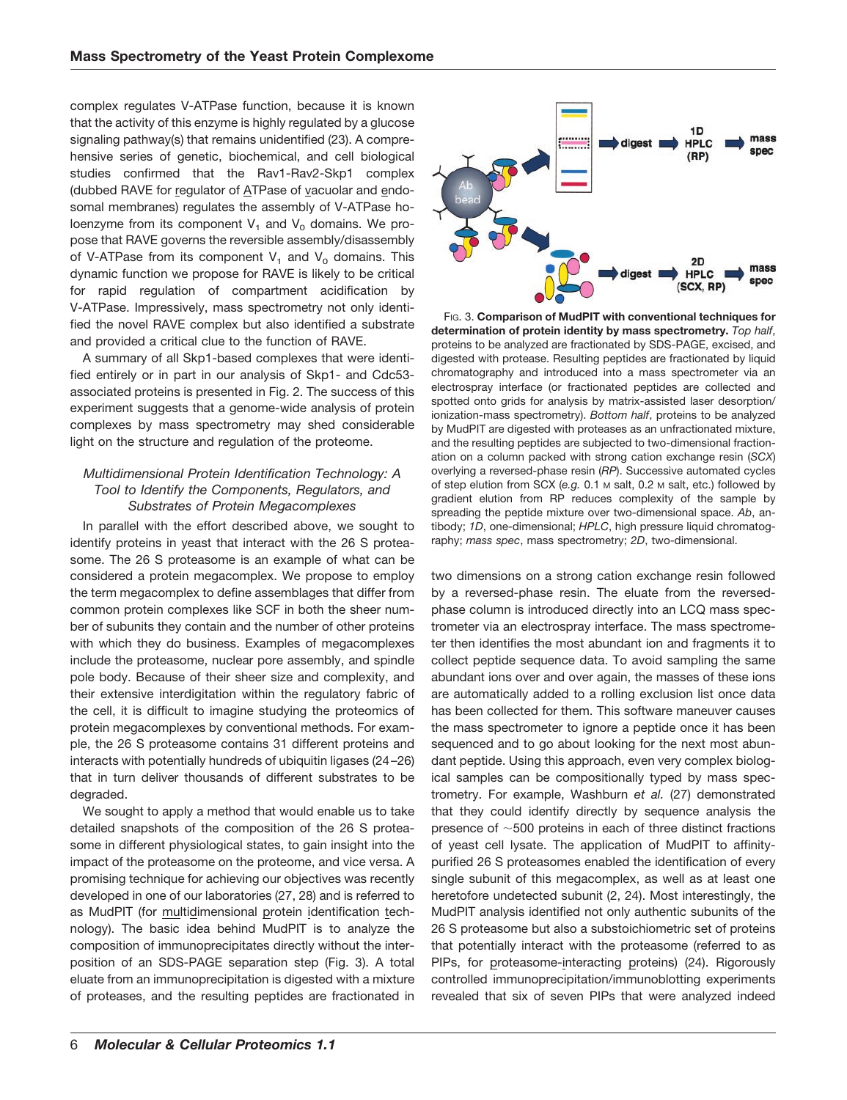complex regulates V-ATPase function, because it is known that the activity of this enzyme is highly regulated by a glucose signaling pathway(s) that remains unidentified (23). A comprehensive series of genetic, biochemical, and cell biological studies confirmed that the Rav1-Rav2-Skp1 complex (dubbed RAVE for regulator of ATPase of vacuolar and endosomal membranes) regulates the assembly of V-ATPase holoenzyme from its component  $V_1$  and  $V_0$  domains. We propose that RAVE governs the reversible assembly/disassembly of V-ATPase from its component  $V_1$  and  $V_0$  domains. This dynamic function we propose for RAVE is likely to be critical for rapid regulation of compartment acidification by V-ATPase. Impressively, mass spectrometry not only identified the novel RAVE complex but also identified a substrate and provided a critical clue to the function of RAVE.

A summary of all Skp1-based complexes that were identified entirely or in part in our analysis of Skp1- and Cdc53 associated proteins is presented in Fig. 2. The success of this experiment suggests that a genome-wide analysis of protein complexes by mass spectrometry may shed considerable light on the structure and regulation of the proteome.

## *Multidimensional Protein Identification Technology: A Tool to Identify the Components, Regulators, and Substrates of Protein Megacomplexes*

In parallel with the effort described above, we sought to identify proteins in yeast that interact with the 26 S proteasome. The 26 S proteasome is an example of what can be considered a protein megacomplex. We propose to employ the term megacomplex to define assemblages that differ from common protein complexes like SCF in both the sheer number of subunits they contain and the number of other proteins with which they do business. Examples of megacomplexes include the proteasome, nuclear pore assembly, and spindle pole body. Because of their sheer size and complexity, and their extensive interdigitation within the regulatory fabric of the cell, it is difficult to imagine studying the proteomics of protein megacomplexes by conventional methods. For example, the 26 S proteasome contains 31 different proteins and interacts with potentially hundreds of ubiquitin ligases (24–26) that in turn deliver thousands of different substrates to be degraded.

We sought to apply a method that would enable us to take detailed snapshots of the composition of the 26 S proteasome in different physiological states, to gain insight into the impact of the proteasome on the proteome, and vice versa. A promising technique for achieving our objectives was recently developed in one of our laboratories (27, 28) and is referred to as MudPIT (for multidimensional protein identification technology). The basic idea behind MudPIT is to analyze the composition of immunoprecipitates directly without the interposition of an SDS-PAGE separation step (Fig. 3). A total eluate from an immunoprecipitation is digested with a mixture of proteases, and the resulting peptides are fractionated in



FIG. 3. **Comparison of MudPIT with conventional techniques for determination of protein identity by mass spectrometry.** *Top half*, proteins to be analyzed are fractionated by SDS-PAGE, excised, and digested with protease. Resulting peptides are fractionated by liquid chromatography and introduced into a mass spectrometer via an electrospray interface (or fractionated peptides are collected and spotted onto grids for analysis by matrix-assisted laser desorption/ ionization-mass spectrometry). *Bottom half*, proteins to be analyzed by MudPIT are digested with proteases as an unfractionated mixture, and the resulting peptides are subjected to two-dimensional fractionation on a column packed with strong cation exchange resin (*SCX*) overlying a reversed-phase resin (*RP*). Successive automated cycles of step elution from SCX (*e.g.* 0.1 M salt, 0.2 M salt, etc.) followed by gradient elution from RP reduces complexity of the sample by spreading the peptide mixture over two-dimensional space. *Ab*, antibody; *1D*, one-dimensional; *HPLC*, high pressure liquid chromatography; *mass spec*, mass spectrometry; *2D*, two-dimensional.

two dimensions on a strong cation exchange resin followed by a reversed-phase resin. The eluate from the reversedphase column is introduced directly into an LCQ mass spectrometer via an electrospray interface. The mass spectrometer then identifies the most abundant ion and fragments it to collect peptide sequence data. To avoid sampling the same abundant ions over and over again, the masses of these ions are automatically added to a rolling exclusion list once data has been collected for them. This software maneuver causes the mass spectrometer to ignore a peptide once it has been sequenced and to go about looking for the next most abundant peptide. Using this approach, even very complex biological samples can be compositionally typed by mass spectrometry. For example, Washburn *et al.* (27) demonstrated that they could identify directly by sequence analysis the presence of  $\sim$  500 proteins in each of three distinct fractions of yeast cell lysate. The application of MudPIT to affinitypurified 26 S proteasomes enabled the identification of every single subunit of this megacomplex, as well as at least one heretofore undetected subunit (2, 24). Most interestingly, the MudPIT analysis identified not only authentic subunits of the 26 S proteasome but also a substoichiometric set of proteins that potentially interact with the proteasome (referred to as PIPs, for proteasome-interacting proteins) (24). Rigorously controlled immunoprecipitation/immunoblotting experiments revealed that six of seven PIPs that were analyzed indeed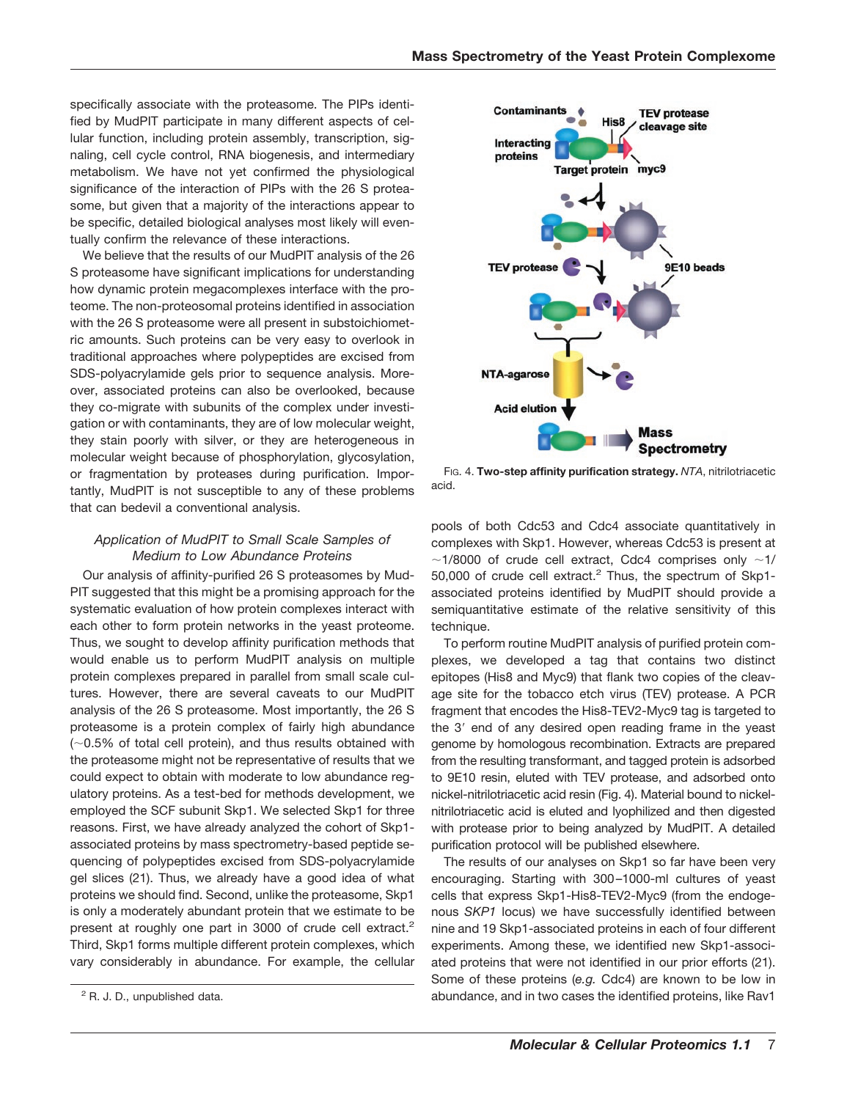specifically associate with the proteasome. The PIPs identified by MudPIT participate in many different aspects of cellular function, including protein assembly, transcription, signaling, cell cycle control, RNA biogenesis, and intermediary metabolism. We have not yet confirmed the physiological significance of the interaction of PIPs with the 26 S proteasome, but given that a majority of the interactions appear to be specific, detailed biological analyses most likely will eventually confirm the relevance of these interactions.

We believe that the results of our MudPIT analysis of the 26 S proteasome have significant implications for understanding how dynamic protein megacomplexes interface with the proteome. The non-proteosomal proteins identified in association with the 26 S proteasome were all present in substoichiometric amounts. Such proteins can be very easy to overlook in traditional approaches where polypeptides are excised from SDS-polyacrylamide gels prior to sequence analysis. Moreover, associated proteins can also be overlooked, because they co-migrate with subunits of the complex under investigation or with contaminants, they are of low molecular weight, they stain poorly with silver, or they are heterogeneous in molecular weight because of phosphorylation, glycosylation, or fragmentation by proteases during purification. Importantly, MudPIT is not susceptible to any of these problems that can bedevil a conventional analysis.

## *Application of MudPIT to Small Scale Samples of Medium to Low Abundance Proteins*

Our analysis of affinity-purified 26 S proteasomes by Mud-PIT suggested that this might be a promising approach for the systematic evaluation of how protein complexes interact with each other to form protein networks in the yeast proteome. Thus, we sought to develop affinity purification methods that would enable us to perform MudPIT analysis on multiple protein complexes prepared in parallel from small scale cultures. However, there are several caveats to our MudPIT analysis of the 26 S proteasome. Most importantly, the 26 S proteasome is a protein complex of fairly high abundance  $(-0.5%$  of total cell protein), and thus results obtained with the proteasome might not be representative of results that we could expect to obtain with moderate to low abundance regulatory proteins. As a test-bed for methods development, we employed the SCF subunit Skp1. We selected Skp1 for three reasons. First, we have already analyzed the cohort of Skp1 associated proteins by mass spectrometry-based peptide sequencing of polypeptides excised from SDS-polyacrylamide gel slices (21). Thus, we already have a good idea of what proteins we should find. Second, unlike the proteasome, Skp1 is only a moderately abundant protein that we estimate to be present at roughly one part in 3000 of crude cell extract.<sup>2</sup> Third, Skp1 forms multiple different protein complexes, which vary considerably in abundance. For example, the cellular



FIG. 4. **Two-step affinity purification strategy.** *NTA*, nitrilotriacetic acid.

pools of both Cdc53 and Cdc4 associate quantitatively in complexes with Skp1. However, whereas Cdc53 is present at  $\sim$ 1/8000 of crude cell extract, Cdc4 comprises only  $\sim$ 1/ 50,000 of crude cell extract.<sup>2</sup> Thus, the spectrum of Skp1associated proteins identified by MudPIT should provide a semiquantitative estimate of the relative sensitivity of this technique.

To perform routine MudPIT analysis of purified protein complexes, we developed a tag that contains two distinct epitopes (His8 and Myc9) that flank two copies of the cleavage site for the tobacco etch virus (TEV) protease. A PCR fragment that encodes the His8-TEV2-Myc9 tag is targeted to the 3' end of any desired open reading frame in the yeast genome by homologous recombination. Extracts are prepared from the resulting transformant, and tagged protein is adsorbed to 9E10 resin, eluted with TEV protease, and adsorbed onto nickel-nitrilotriacetic acid resin (Fig. 4). Material bound to nickelnitrilotriacetic acid is eluted and lyophilized and then digested with protease prior to being analyzed by MudPIT. A detailed purification protocol will be published elsewhere.

The results of our analyses on Skp1 so far have been very encouraging. Starting with 300–1000-ml cultures of yeast cells that express Skp1-His8-TEV2-Myc9 (from the endogenous *SKP1* locus) we have successfully identified between nine and 19 Skp1-associated proteins in each of four different experiments. Among these, we identified new Skp1-associated proteins that were not identified in our prior efforts (21). Some of these proteins (*e.g.* Cdc4) are known to be low in <sup>2</sup> R. J. D., unpublished data. **2** abundance, and in two cases the identified proteins, like Rav1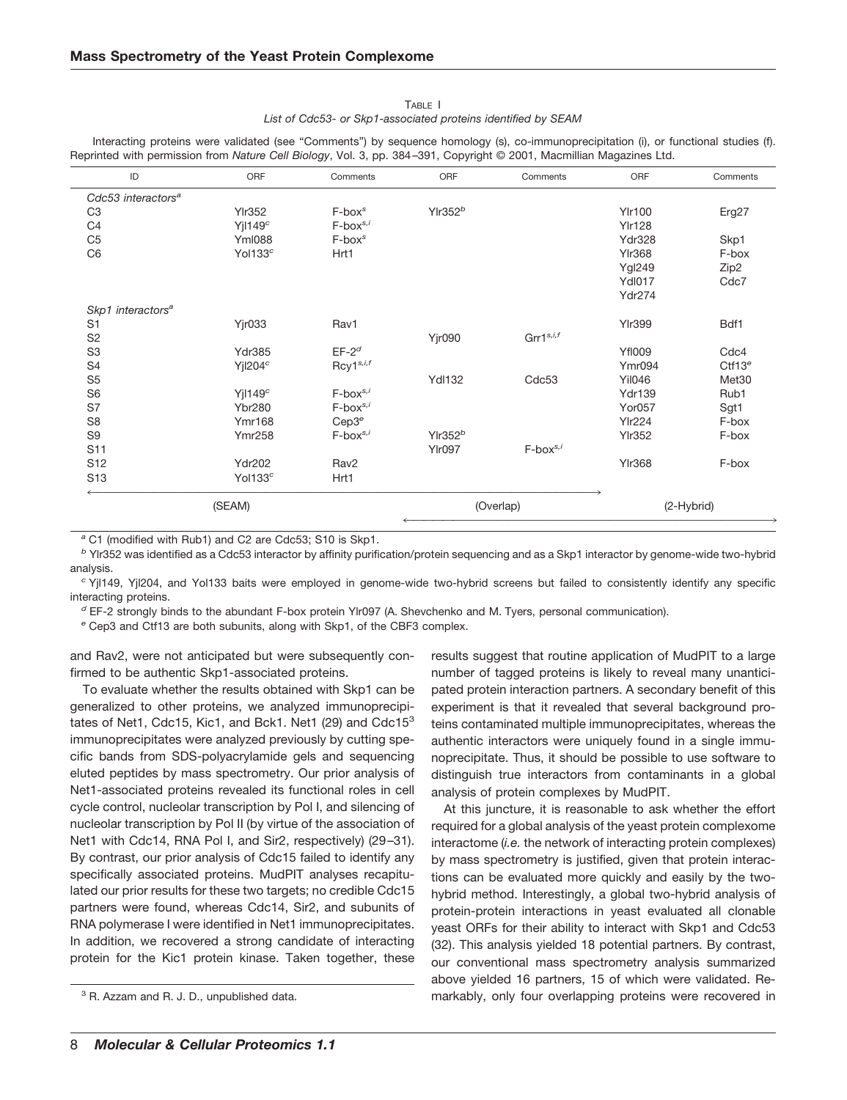### TABLE I *List of Cdc53- or Skp1-associated proteins identified by SEAM*

Interacting proteins were validated (see "Comments") by sequence homology (s), co-immunoprecipitation (i), or functional studies (f). Reprinted with permission from *Nature Cell Biology*, Vol. 3, pp. 384–391, Copyright © 2001, Macmillian Magazines Ltd.

| ID                             | ORF                 | Comments                             | ORF                 | Comments          | ORF           | Comments           |
|--------------------------------|---------------------|--------------------------------------|---------------------|-------------------|---------------|--------------------|
| Cdc53 interactors <sup>a</sup> |                     |                                      |                     |                   |               |                    |
| C <sub>3</sub>                 | <b>Ylr352</b>       | $F$ -box $s$                         | Ylr352 <sup>b</sup> |                   | <b>Ylr100</b> | Erg27              |
| C <sub>4</sub>                 | Yj149 <sup>c</sup>  | $F$ -box $s$ ,                       |                     |                   | <b>YIr128</b> |                    |
| C <sub>5</sub>                 | <b>YmI088</b>       | $F$ -bo $x^s$                        |                     |                   | <b>Ydr328</b> | Skp1               |
| C <sub>6</sub>                 | Yol133 <sup>c</sup> | Hrt1                                 |                     |                   | <b>YIr368</b> | F-box              |
|                                |                     |                                      |                     |                   | <b>Ygl249</b> | Zip2               |
|                                |                     |                                      |                     |                   | <b>YdI017</b> | Cdc7               |
|                                |                     |                                      |                     |                   | <b>Ydr274</b> |                    |
| Skp1 interactors <sup>a</sup>  |                     |                                      |                     |                   |               |                    |
| S <sub>1</sub>                 | <b>Yjr033</b>       | Rav1                                 |                     |                   | <b>Ylr399</b> | Bdf1               |
| S <sub>2</sub>                 |                     |                                      | <b>Yjr090</b>       | Grr $1^{s,i,f}$   |               |                    |
| S <sub>3</sub>                 | Ydr385              | $EF-2d$                              |                     |                   | <b>YfI009</b> | Cdc4               |
| S <sub>4</sub>                 | Yj1204 <sup>c</sup> | Rcy1 <sup>s,i,f</sup>                |                     |                   | Ymr094        | Ctf13 <sup>e</sup> |
| S <sub>5</sub>                 |                     |                                      | <b>YdI132</b>       | Cdc <sub>53</sub> | <b>Yil046</b> | Met30              |
| S <sub>6</sub>                 | $Y$ jl149 $c$       | $F$ -box $s$ ,                       |                     |                   | <b>Ydr139</b> | Rub1               |
| S7                             | <b>Ybr280</b>       | $F$ -box $s$ ,                       |                     |                   | <b>Yor057</b> | Sgt1               |
| S <sub>8</sub>                 | <b>Ymr168</b>       | Cep3 <sup>e</sup>                    |                     |                   | <b>Ylr224</b> | F-box              |
| S <sub>9</sub>                 | <b>Ymr258</b>       | $F$ -box <sup>s,<math>i</math></sup> | $Y$ Ir352 $b$       |                   | <b>YIr352</b> | F-box              |
| S <sub>11</sub>                |                     |                                      | <b>Ylr097</b>       | $F$ -box $s$ ,    |               |                    |
| S <sub>12</sub>                | <b>Ydr202</b>       | Rav <sub>2</sub>                     |                     |                   | <b>Ylr368</b> | F-box              |
| S <sub>13</sub>                | Yol133 <sup>c</sup> | Hrt1                                 |                     |                   |               |                    |
| (SEAM)                         |                     |                                      | (Overlap)           |                   | (2-Hybrid)    |                    |

*<sup>a</sup>* C1 (modified with Rub1) and C2 are Cdc53; S10 is Skp1.

*<sup>b</sup>* Ylr352 was identified as a Cdc53 interactor by affinity purification/protein sequencing and as a Skp1 interactor by genome-wide two-hybrid analysis.

*<sup>c</sup>* Yjl149, Yjl204, and Yol133 baits were employed in genome-wide two-hybrid screens but failed to consistently identify any specific interacting proteins.

*<sup>d</sup>* EF-2 strongly binds to the abundant F-box protein Ylr097 (A. Shevchenko and M. Tyers, personal communication).

*<sup>e</sup>* Cep3 and Ctf13 are both subunits, along with Skp1, of the CBF3 complex.

and Rav2, were not anticipated but were subsequently confirmed to be authentic Skp1-associated proteins.

To evaluate whether the results obtained with Skp1 can be generalized to other proteins, we analyzed immunoprecipitates of Net1, Cdc15, Kic1, and Bck1. Net1 (29) and Cdc15<sup>3</sup> immunoprecipitates were analyzed previously by cutting specific bands from SDS-polyacrylamide gels and sequencing eluted peptides by mass spectrometry. Our prior analysis of Net1-associated proteins revealed its functional roles in cell cycle control, nucleolar transcription by Pol I, and silencing of nucleolar transcription by Pol II (by virtue of the association of Net1 with Cdc14, RNA Pol I, and Sir2, respectively) (29–31). By contrast, our prior analysis of Cdc15 failed to identify any specifically associated proteins. MudPIT analyses recapitulated our prior results for these two targets; no credible Cdc15 partners were found, whereas Cdc14, Sir2, and subunits of RNA polymerase I were identified in Net1 immunoprecipitates. In addition, we recovered a strong candidate of interacting protein for the Kic1 protein kinase. Taken together, these

results suggest that routine application of MudPIT to a large number of tagged proteins is likely to reveal many unanticipated protein interaction partners. A secondary benefit of this experiment is that it revealed that several background proteins contaminated multiple immunoprecipitates, whereas the authentic interactors were uniquely found in a single immunoprecipitate. Thus, it should be possible to use software to distinguish true interactors from contaminants in a global analysis of protein complexes by MudPIT.

At this juncture, it is reasonable to ask whether the effort required for a global analysis of the yeast protein complexome interactome (*i.e.* the network of interacting protein complexes) by mass spectrometry is justified, given that protein interactions can be evaluated more quickly and easily by the twohybrid method. Interestingly, a global two-hybrid analysis of protein-protein interactions in yeast evaluated all clonable yeast ORFs for their ability to interact with Skp1 and Cdc53 (32). This analysis yielded 18 potential partners. By contrast, our conventional mass spectrometry analysis summarized above yielded 16 partners, 15 of which were validated. Re-<sup>3</sup> R. Azzam and R. J. D., unpublished data. The same recovered in 3 R. Azzam and R. J. D., unpublished data.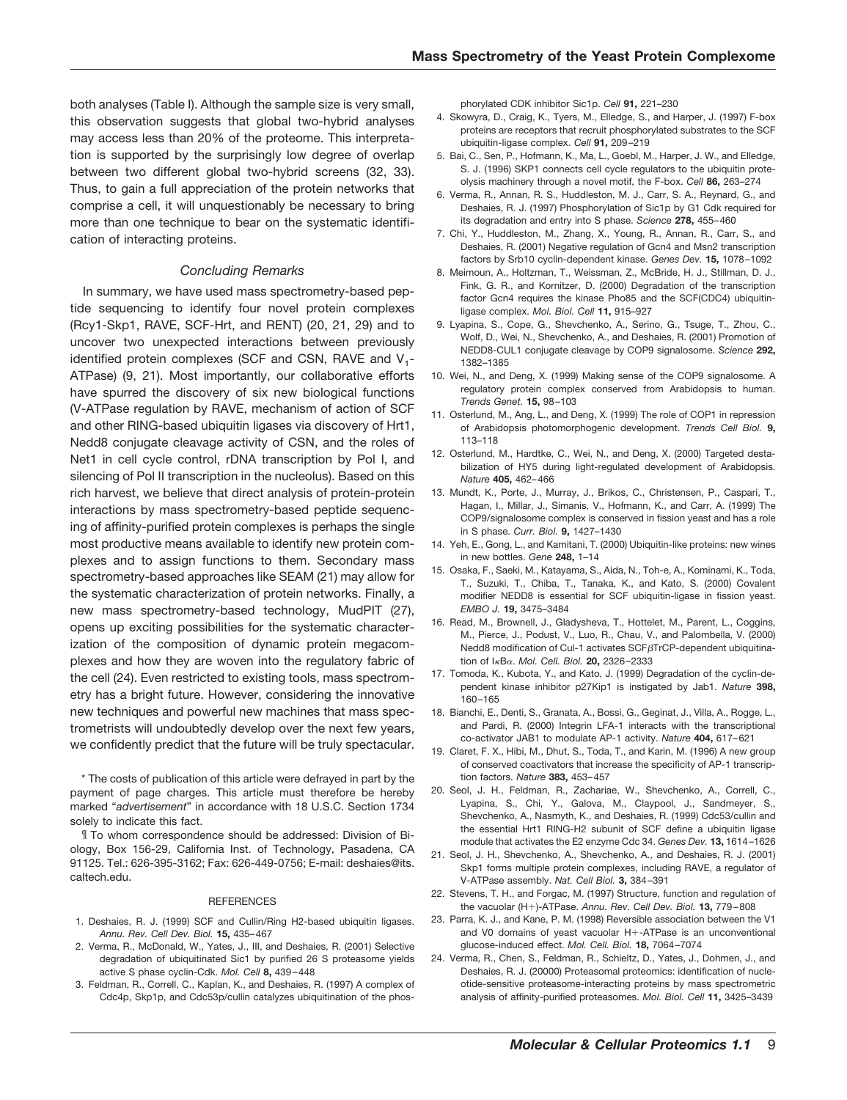both analyses (Table I). Although the sample size is very small, this observation suggests that global two-hybrid analyses may access less than 20% of the proteome. This interpretation is supported by the surprisingly low degree of overlap between two different global two-hybrid screens (32, 33). Thus, to gain a full appreciation of the protein networks that comprise a cell, it will unquestionably be necessary to bring more than one technique to bear on the systematic identification of interacting proteins.

#### *Concluding Remarks*

In summary, we have used mass spectrometry-based peptide sequencing to identify four novel protein complexes (Rcy1-Skp1, RAVE, SCF-Hrt, and RENT) (20, 21, 29) and to uncover two unexpected interactions between previously identified protein complexes (SCF and CSN, RAVE and  $V_{1}$ -ATPase) (9, 21). Most importantly, our collaborative efforts have spurred the discovery of six new biological functions (V-ATPase regulation by RAVE, mechanism of action of SCF and other RING-based ubiquitin ligases via discovery of Hrt1, Nedd8 conjugate cleavage activity of CSN, and the roles of Net1 in cell cycle control, rDNA transcription by Pol I, and silencing of Pol II transcription in the nucleolus). Based on this rich harvest, we believe that direct analysis of protein-protein interactions by mass spectrometry-based peptide sequencing of affinity-purified protein complexes is perhaps the single most productive means available to identify new protein complexes and to assign functions to them. Secondary mass spectrometry-based approaches like SEAM (21) may allow for the systematic characterization of protein networks. Finally, a new mass spectrometry-based technology, MudPIT (27), opens up exciting possibilities for the systematic characterization of the composition of dynamic protein megacomplexes and how they are woven into the regulatory fabric of the cell (24). Even restricted to existing tools, mass spectrometry has a bright future. However, considering the innovative new techniques and powerful new machines that mass spectrometrists will undoubtedly develop over the next few years, we confidently predict that the future will be truly spectacular.

\* The costs of publication of this article were defrayed in part by the payment of page charges. This article must therefore be hereby marked "*advertisement*" in accordance with 18 U.S.C. Section 1734 solely to indicate this fact.

¶ To whom correspondence should be addressed: Division of Biology, Box 156-29, California Inst. of Technology, Pasadena, CA 91125. Tel.: 626-395-3162; Fax: 626-449-0756; E-mail: deshaies@its. caltech.edu.

#### **REFERENCES**

- 1. Deshaies, R. J. (1999) SCF and Cullin/Ring H2-based ubiquitin ligases. *Annu. Rev. Cell Dev. Biol.* **15,** 435–467
- 2. Verma, R., McDonald, W., Yates, J., III, and Deshaies, R. (2001) Selective degradation of ubiquitinated Sic1 by purified 26 S proteasome yields active S phase cyclin-Cdk. *Mol. Cell* **8,** 439–448
- 3. Feldman, R., Correll, C., Kaplan, K., and Deshaies, R. (1997) A complex of Cdc4p, Skp1p, and Cdc53p/cullin catalyzes ubiquitination of the phos-

phorylated CDK inhibitor Sic1p. *Cell* **91,** 221–230

- 4. Skowyra, D., Craig, K., Tyers, M., Elledge, S., and Harper, J. (1997) F-box proteins are receptors that recruit phosphorylated substrates to the SCF ubiquitin-ligase complex. *Cell* **91,** 209–219
- 5. Bai, C., Sen, P., Hofmann, K., Ma, L., Goebl, M., Harper, J. W., and Elledge, S. J. (1996) SKP1 connects cell cycle regulators to the ubiquitin proteolysis machinery through a novel motif, the F-box. *Cell* **86,** 263–274
- 6. Verma, R., Annan, R. S., Huddleston, M. J., Carr, S. A., Reynard, G., and Deshaies, R. J. (1997) Phosphorylation of Sic1p by G1 Cdk required for its degradation and entry into S phase. *Science* **278,** 455–460
- 7. Chi, Y., Huddleston, M., Zhang, X., Young, R., Annan, R., Carr, S., and Deshaies, R. (2001) Negative regulation of Gcn4 and Msn2 transcription factors by Srb10 cyclin-dependent kinase. *Genes Dev.* **15,** 1078–1092
- 8. Meimoun, A., Holtzman, T., Weissman, Z., McBride, H. J., Stillman, D. J., Fink, G. R., and Kornitzer, D. (2000) Degradation of the transcription factor Gcn4 requires the kinase Pho85 and the SCF(CDC4) ubiquitinligase complex. *Mol. Biol. Cell* **11,** 915–927
- 9. Lyapina, S., Cope, G., Shevchenko, A., Serino, G., Tsuge, T., Zhou, C., Wolf, D., Wei, N., Shevchenko, A., and Deshaies, R. (2001) Promotion of NEDD8-CUL1 conjugate cleavage by COP9 signalosome. *Science* **292,** 1382–1385
- 10. Wei, N., and Deng, X. (1999) Making sense of the COP9 signalosome. A regulatory protein complex conserved from Arabidopsis to human. *Trends Genet.* **15,** 98–103
- 11. Osterlund, M., Ang, L., and Deng, X. (1999) The role of COP1 in repression of Arabidopsis photomorphogenic development. *Trends Cell Biol.* **9,** 113–118
- 12. Osterlund, M., Hardtke, C., Wei, N., and Deng, X. (2000) Targeted destabilization of HY5 during light-regulated development of Arabidopsis. *Nature* **405,** 462–466
- 13. Mundt, K., Porte, J., Murray, J., Brikos, C., Christensen, P., Caspari, T., Hagan, I., Millar, J., Simanis, V., Hofmann, K., and Carr, A. (1999) The COP9/signalosome complex is conserved in fission yeast and has a role in S phase. *Curr. Biol.* **9,** 1427–1430
- 14. Yeh, E., Gong, L., and Kamitani, T. (2000) Ubiquitin-like proteins: new wines in new bottles. *Gene* **248,** 1–14
- 15. Osaka, F., Saeki, M., Katayama, S., Aida, N., Toh-e, A., Kominami, K., Toda, T., Suzuki, T., Chiba, T., Tanaka, K., and Kato, S. (2000) Covalent modifier NEDD8 is essential for SCF ubiquitin-ligase in fission yeast. *EMBO J.* **19,** 3475–3484
- 16. Read, M., Brownell, J., Gladysheva, T., Hottelet, M., Parent, L., Coggins, M., Pierce, J., Podust, V., Luo, R., Chau, V., and Palombella, V. (2000) Nedd8 modification of Cul-1 activates  $SCF\beta$ TrCP-dependent ubiquitination of I-B. *Mol. Cell. Biol.* **20,** 2326–2333
- 17. Tomoda, K., Kubota, Y., and Kato, J. (1999) Degradation of the cyclin-dependent kinase inhibitor p27Kip1 is instigated by Jab1. *Nature* **398,** 160–165
- 18. Bianchi, E., Denti, S., Granata, A., Bossi, G., Geginat, J., Villa, A., Rogge, L., and Pardi, R. (2000) Integrin LFA-1 interacts with the transcriptional co-activator JAB1 to modulate AP-1 activity. *Nature* **404,** 617–621
- 19. Claret, F. X., Hibi, M., Dhut, S., Toda, T., and Karin, M. (1996) A new group of conserved coactivators that increase the specificity of AP-1 transcription factors. *Nature* **383,** 453–457
- 20. Seol, J. H., Feldman, R., Zachariae, W., Shevchenko, A., Correll, C., Lyapina, S., Chi, Y., Galova, M., Claypool, J., Sandmeyer, S., Shevchenko, A., Nasmyth, K., and Deshaies, R. (1999) Cdc53/cullin and the essential Hrt1 RING-H2 subunit of SCF define a ubiquitin ligase module that activates the E2 enzyme Cdc 34. *Genes Dev.* **13,** 1614–1626
- 21. Seol, J. H., Shevchenko, A., Shevchenko, A., and Deshaies, R. J. (2001) Skp1 forms multiple protein complexes, including RAVE, a regulator of V-ATPase assembly. *Nat. Cell Biol.* **3,** 384–391
- 22. Stevens, T. H., and Forgac, M. (1997) Structure, function and regulation of the vacuolar (H)-ATPase. *Annu. Rev. Cell Dev. Biol.* **13,** 779–808
- 23. Parra, K. J., and Kane, P. M. (1998) Reversible association between the V1 and V0 domains of yeast vacuolar H+-ATPase is an unconventional glucose-induced effect. *Mol. Cell. Biol.* **18,** 7064–7074
- 24. Verma, R., Chen, S., Feldman, R., Schieltz, D., Yates, J., Dohmen, J., and Deshaies, R. J. (20000) Proteasomal proteomics: identification of nucleotide-sensitive proteasome-interacting proteins by mass spectrometric analysis of affinity-purified proteasomes. *Mol. Biol. Cell* **11,** 3425–3439